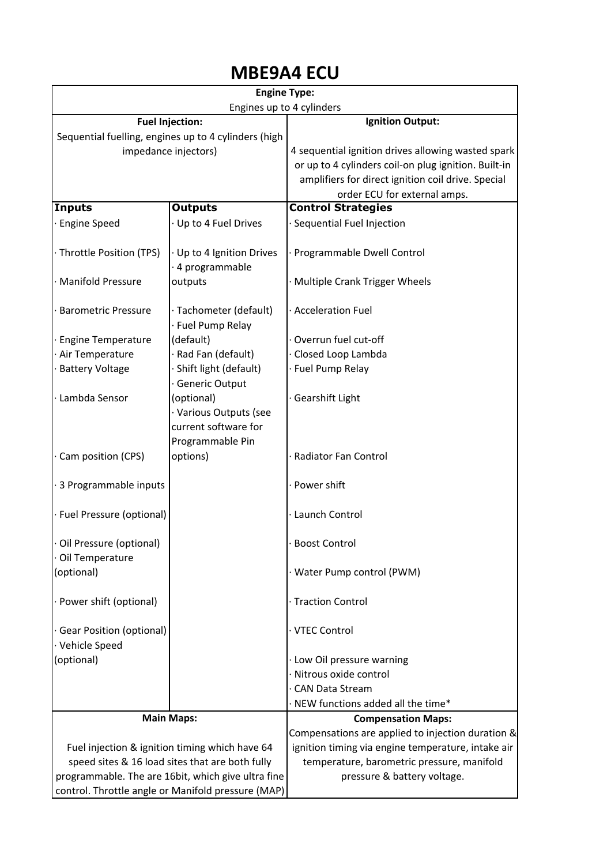## MBE9A4 ECU

| <b>Engine Type:</b>                                  |                                             |                                                      |
|------------------------------------------------------|---------------------------------------------|------------------------------------------------------|
| Engines up to 4 cylinders                            |                                             |                                                      |
| <b>Fuel Injection:</b>                               |                                             | <b>Ignition Output:</b>                              |
| Sequential fuelling, engines up to 4 cylinders (high |                                             |                                                      |
| impedance injectors)                                 |                                             | 4 sequential ignition drives allowing wasted spark   |
|                                                      |                                             | or up to 4 cylinders coil-on plug ignition. Built-in |
|                                                      |                                             | amplifiers for direct ignition coil drive. Special   |
|                                                      |                                             | order ECU for external amps.                         |
| <b>Inputs</b>                                        | <b>Outputs</b>                              | <b>Control Strategies</b>                            |
| <b>Engine Speed</b>                                  | Up to 4 Fuel Drives                         | Sequential Fuel Injection                            |
| · Throttle Position (TPS)                            | Up to 4 Ignition Drives<br>· 4 programmable | Programmable Dwell Control                           |
| <b>Manifold Pressure</b>                             | outputs                                     | · Multiple Crank Trigger Wheels                      |
| <b>Barometric Pressure</b>                           | · Tachometer (default)<br>Fuel Pump Relay   | · Acceleration Fuel                                  |
| <b>Engine Temperature</b>                            | (default)                                   | Overrun fuel cut-off                                 |
| Air Temperature                                      | Rad Fan (default)                           | Closed Loop Lambda                                   |
| <b>Battery Voltage</b>                               | Shift light (default)                       | · Fuel Pump Relay                                    |
|                                                      | Generic Output                              |                                                      |
| · Lambda Sensor                                      | (optional)                                  | Gearshift Light                                      |
|                                                      | · Various Outputs (see                      |                                                      |
|                                                      | current software for                        |                                                      |
|                                                      | Programmable Pin                            |                                                      |
| Cam position (CPS)                                   | options)                                    | Radiator Fan Control                                 |
|                                                      |                                             |                                                      |
| 3 Programmable inputs                                |                                             | Power shift                                          |
|                                                      |                                             |                                                      |
| · Fuel Pressure (optional)                           |                                             | Launch Control                                       |
|                                                      |                                             |                                                      |
| · Oil Pressure (optional)                            |                                             | <b>Boost Control</b>                                 |
| · Oil Temperature                                    |                                             |                                                      |
| (optional)                                           |                                             | · Water Pump control (PWM)                           |
|                                                      |                                             |                                                      |
| · Power shift (optional)                             |                                             | · Traction Control                                   |
| · Gear Position (optional)                           |                                             | · VTEC Control                                       |
| · Vehicle Speed                                      |                                             |                                                      |
| (optional)                                           |                                             | · Low Oil pressure warning                           |
|                                                      |                                             | Nitrous oxide control                                |
|                                                      |                                             | <b>CAN Data Stream</b>                               |
|                                                      |                                             | · NEW functions added all the time*                  |
|                                                      |                                             | <b>Compensation Maps:</b>                            |
| <b>Main Maps:</b>                                    |                                             | Compensations are applied to injection duration &    |
| Fuel injection & ignition timing which have 64       |                                             | ignition timing via engine temperature, intake air   |
| speed sites & 16 load sites that are both fully      |                                             | temperature, barometric pressure, manifold           |
| programmable. The are 16bit, which give ultra fine   |                                             | pressure & battery voltage.                          |
| control. Throttle angle or Manifold pressure (MAP)   |                                             |                                                      |